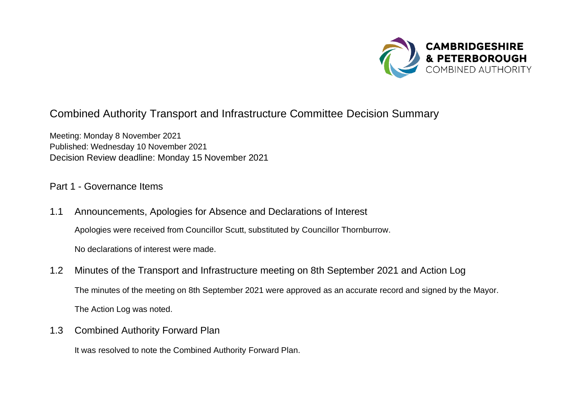

## Combined Authority Transport and Infrastructure Committee Decision Summary

Meeting: Monday 8 November 2021 Published: Wednesday 10 November 2021 Decision Review deadline: Monday 15 November 2021

## Part 1 - Governance Items

- 1.1 Announcements, Apologies for Absence and Declarations of Interest Apologies were received from Councillor Scutt, substituted by Councillor Thornburrow. No declarations of interest were made.
- 1.2 Minutes of the Transport and Infrastructure meeting on 8th September 2021 and Action Log The minutes of the meeting on 8th September 2021 were approved as an accurate record and signed by the Mayor. The Action Log was noted.
- 1.3 Combined Authority Forward Plan

It was resolved to note the Combined Authority Forward Plan.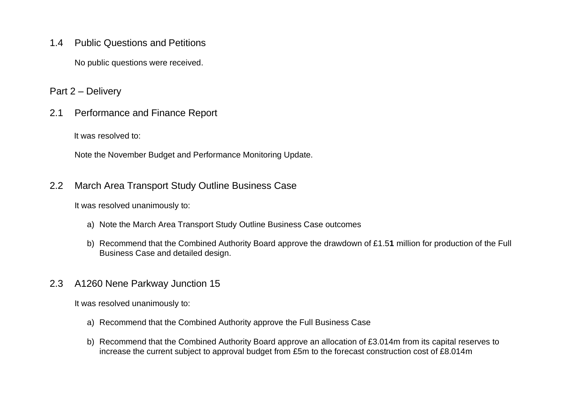1.4 Public Questions and Petitions

No public questions were received.

Part 2 – Delivery

2.1 Performance and Finance Report

It was resolved to:

Note the November Budget and Performance Monitoring Update.

2.2 March Area Transport Study Outline Business Case

It was resolved unanimously to:

- a) Note the March Area Transport Study Outline Business Case outcomes
- b) Recommend that the Combined Authority Board approve the drawdown of £1.5**1** million for production of the Full Business Case and detailed design.
- 2.3 A1260 Nene Parkway Junction 15

It was resolved unanimously to:

- a) Recommend that the Combined Authority approve the Full Business Case
- b) Recommend that the Combined Authority Board approve an allocation of £3.014m from its capital reserves to increase the current subject to approval budget from £5m to the forecast construction cost of £8.014m